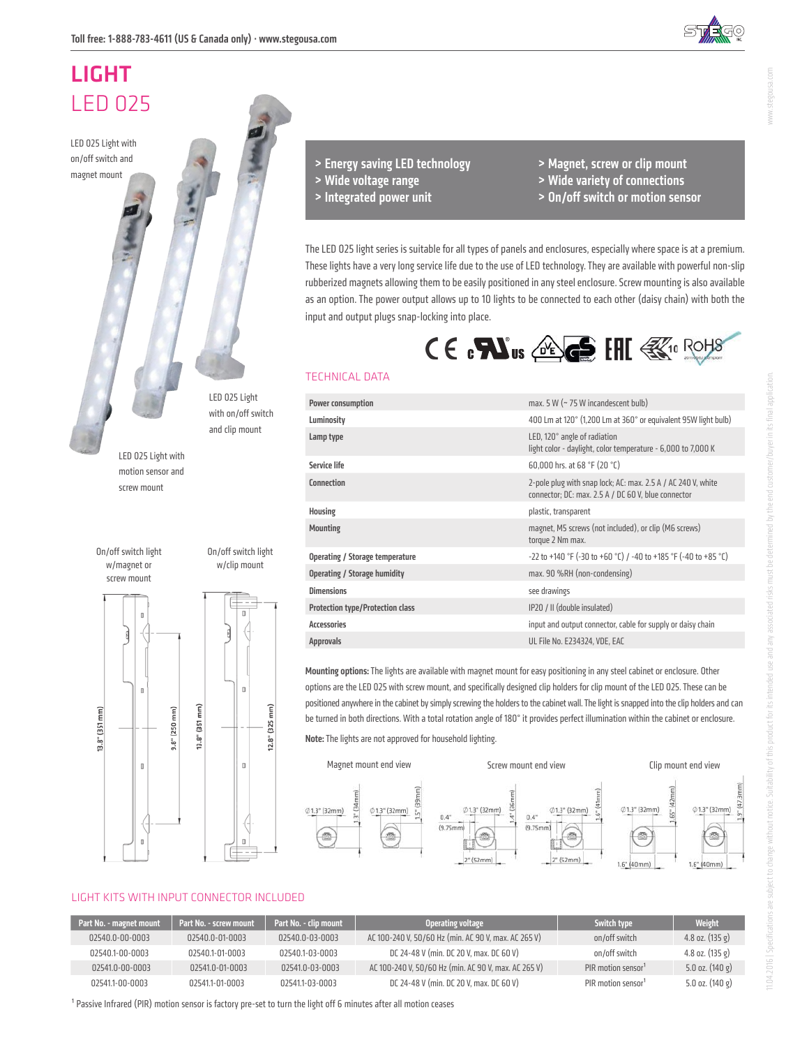# LIGHT LED 025

LED 025 Light with on/off switch and magnet mount

> LED 025 Light with motion sensor and screw mount

On/off switch light w/magnet or screw mount

mm)

 $13.8"$   $(351)$ 

 $\begin{array}{c} \square \end{array}$ 

 $\Box$ 

 $\overline{u}$ 



LED 025 Light with on/off switch and clip mount

On/off switch light w/clip mount

 $\overline{a}$ 

 $\mathbf{0}$ 

o

T<br>T

 $(325$ 

 $12.8"$ 

> Wide voltage range > Integrated power unit

> Energy saving LED technology

- > Magnet, screw or clip mount
- > Wide variety of connections
- > On/off switch or motion sensor

The LED 025 light series is suitable for all types of panels and enclosures, especially where space is at a premium. These lights have a very long service life due to the use of LED technology. They are available with powerful non-slip rubberized magnets allowing them to be easily positioned in any steel enclosure. Screw mounting is also available as an option. The power output allows up to 10 lights to be connected to each other (daisy chain) with both the input and output plugs snap-locking into place.



#### TECHNICAL DATA

| Power consumption                       | max. 5 W (~ 75 W incandescent bulb)                                                                                 |
|-----------------------------------------|---------------------------------------------------------------------------------------------------------------------|
| Luminosity                              | 400 Lm at 120° (1,200 Lm at 360° or equivalent 95W light bulb)                                                      |
| Lamp type                               | LED, 120° angle of radiation<br>light color - daylight, color temperature - 6,000 to 7,000 K                        |
| Service life                            | 60,000 hrs. at 68 °F (20 °C)                                                                                        |
| <b>Connection</b>                       | 2-pole plug with snap lock; AC: max. 2.5 A / AC 240 V, white<br>connector; DC: max. 2.5 A / DC 60 V, blue connector |
| Housing                                 | plastic, transparent                                                                                                |
| <b>Mounting</b>                         | magnet, M5 screws (not included), or clip (M6 screws)<br>torque 2 Nm max.                                           |
| Operating / Storage temperature         | -22 to +140 °F (-30 to +60 °C) / -40 to +185 °F (-40 to +85 °C)                                                     |
| Operating / Storage humidity            | max. 90 %RH (non-condensing)                                                                                        |
| <b>Dimensions</b>                       | see drawings                                                                                                        |
| <b>Protection type/Protection class</b> | IP20 / II (double insulated)                                                                                        |
| <b>Accessories</b>                      | input and output connector, cable for supply or daisy chain                                                         |
| <b>Approvals</b>                        | UL File No. E234324, VDE, EAC                                                                                       |
|                                         |                                                                                                                     |

Mounting options: The lights are available with magnet mount for easy positioning in any steel cabinet or enclosure. Other options are the LED 025 with screw mount, and specifically designed clip holders for clip mount of the LED 025. These can be positioned anywhere in the cabinet by simply screwing the holders to the cabinet wall. The light is snapped into the clip holders and can be turned in both directions. With a total rotation angle of 180° it provides perfect illumination within the cabinet or enclosure.





#### LIGHT KITS WITH INPUT CONNECTOR INCLUDED

13.8" (351 mm)

 $\widehat{E}$ 

 $(250)$ 

 $9.8"$ 

| Part No. - magnet mount | Part No. - screw mount | Part No. - clip mount | Operating voltage                                    | Switch type                    | <b>Weight</b>               |
|-------------------------|------------------------|-----------------------|------------------------------------------------------|--------------------------------|-----------------------------|
| 02540.0-00-0003         | 02540.0-01-0003        | 02540.0-03-0003       | AC 100-240 V, 50/60 Hz (min. AC 90 V, max. AC 265 V) | on/off switch                  | $4.8$ oz. $(135 \text{ g})$ |
| 02540.1-00-0003         | 02540.1-01-0003        | 02540.1-03-0003       | DC 24-48 V (min. DC 20 V, max. DC 60 V)              | on/off switch                  | 4.8 oz. $(135 g)$           |
| 02541.0-00-0003         | 02541.0-01-0003        | 02541.0-03-0003       | AC 100-240 V, 50/60 Hz (min. AC 90 V, max. AC 265 V) | PIR motion sensor <sup>1</sup> | $5.0$ oz. $(140 \text{ g})$ |
| 02541.1-00-0003         | 02541.1-01-0003        | 02541.1-03-0003       | DC 24-48 V (min. DC 20 V, max. DC 60 V)              | PIR motion sensor <sup>1</sup> | $5.0$ oz. $(140 \text{ g})$ |

<sup>1</sup> Passive Infrared (PIR) motion sensor is factory pre-set to turn the light off 6 minutes after all motion ceases

www.stegousa.com